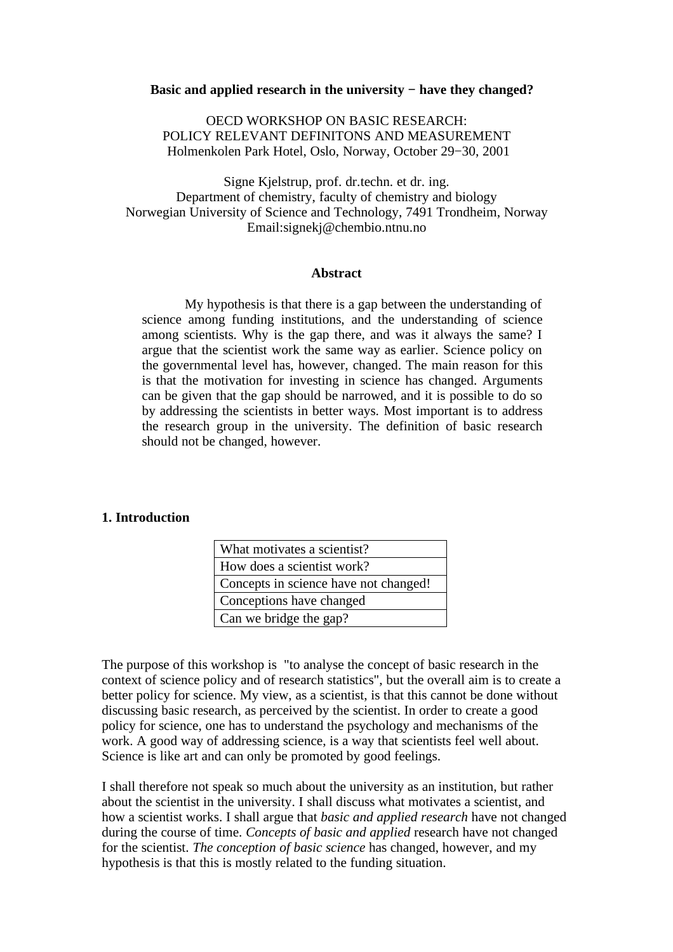#### **Basic and applied research in the university − have they changed?**

OECD WORKSHOP ON BASIC RESEARCH: POLICY RELEVANT DEFINITONS AND MEASUREMENT Holmenkolen Park Hotel, Oslo, Norway, October 29−30, 2001

Signe Kjelstrup, prof. dr.techn. et dr. ing. Department of chemistry, faculty of chemistry and biology Norwegian University of Science and Technology, 7491 Trondheim, Norway Email:signekj@chembio.ntnu.no

#### **Abstract**

My hypothesis is that there is a gap between the understanding of science among funding institutions, and the understanding of science among scientists. Why is the gap there, and was it always the same? I argue that the scientist work the same way as earlier. Science policy on the governmental level has, however, changed. The main reason for this is that the motivation for investing in science has changed. Arguments can be given that the gap should be narrowed, and it is possible to do so by addressing the scientists in better ways. Most important is to address the research group in the university. The definition of basic research should not be changed, however.

### **1. Introduction**

| What motivates a scientist?           |
|---------------------------------------|
| How does a scientist work?            |
| Concepts in science have not changed! |
| Conceptions have changed              |
| Can we bridge the gap?                |

The purpose of this workshop is "to analyse the concept of basic research in the context of science policy and of research statistics", but the overall aim is to create a better policy for science. My view, as a scientist, is that this cannot be done without discussing basic research, as perceived by the scientist. In order to create a good policy for science, one has to understand the psychology and mechanisms of the work. A good way of addressing science, is a way that scientists feel well about. Science is like art and can only be promoted by good feelings.

I shall therefore not speak so much about the university as an institution, but rather about the scientist in the university. I shall discuss what motivates a scientist, and how a scientist works. I shall argue that *basic and applied research* have not changed during the course of time. *Concepts of basic and applied* research have not changed for the scientist. *The conception of basic science* has changed, however, and my hypothesis is that this is mostly related to the funding situation.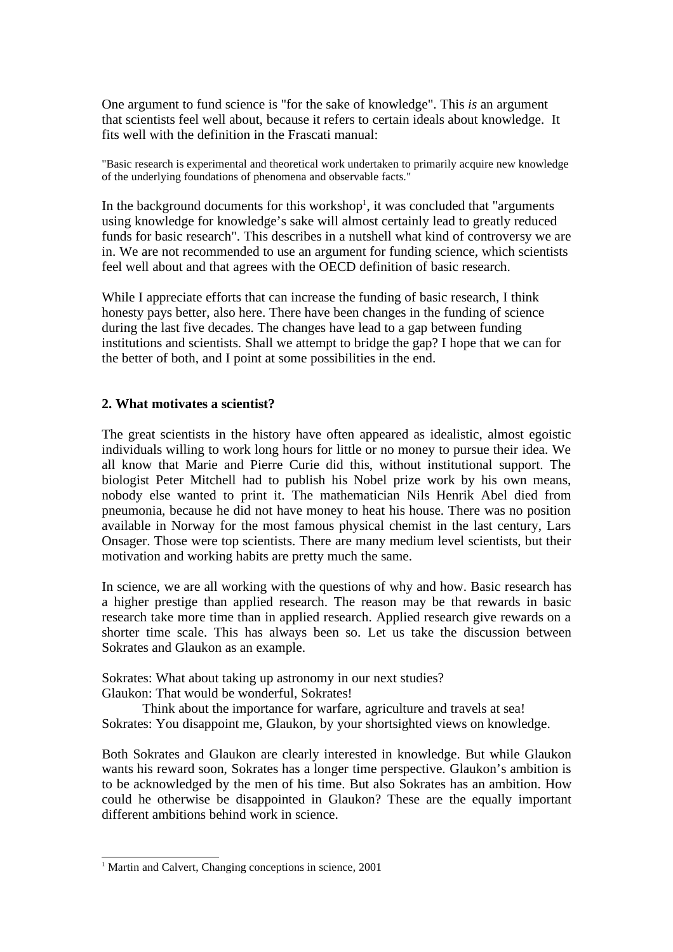One argument to fund science is "for the sake of knowledge". This *is* an argument that scientists feel well about, because it refers to certain ideals about knowledge. It fits well with the definition in the Frascati manual:

"Basic research is experimental and theoretical work undertaken to primarily acquire new knowledge of the underlying foundations of phenomena and observable facts."

In the background documents for this workshop<sup>1</sup>, it was concluded that "arguments using knowledge for knowledge's sake will almost certainly lead to greatly reduced funds for basic research". This describes in a nutshell what kind of controversy we are in. We are not recommended to use an argument for funding science, which scientists feel well about and that agrees with the OECD definition of basic research.

While I appreciate efforts that can increase the funding of basic research, I think honesty pays better, also here. There have been changes in the funding of science during the last five decades. The changes have lead to a gap between funding institutions and scientists. Shall we attempt to bridge the gap? I hope that we can for the better of both, and I point at some possibilities in the end.

### **2. What motivates a scientist?**

The great scientists in the history have often appeared as idealistic, almost egoistic individuals willing to work long hours for little or no money to pursue their idea. We all know that Marie and Pierre Curie did this, without institutional support. The biologist Peter Mitchell had to publish his Nobel prize work by his own means, nobody else wanted to print it. The mathematician Nils Henrik Abel died from pneumonia, because he did not have money to heat his house. There was no position available in Norway for the most famous physical chemist in the last century, Lars Onsager. Those were top scientists. There are many medium level scientists, but their motivation and working habits are pretty much the same.

In science, we are all working with the questions of why and how. Basic research has a higher prestige than applied research. The reason may be that rewards in basic research take more time than in applied research. Applied research give rewards on a shorter time scale. This has always been so. Let us take the discussion between Sokrates and Glaukon as an example.

Sokrates: What about taking up astronomy in our next studies? Glaukon: That would be wonderful, Sokrates!

Think about the importance for warfare, agriculture and travels at sea! Sokrates: You disappoint me, Glaukon, by your shortsighted views on knowledge.

Both Sokrates and Glaukon are clearly interested in knowledge. But while Glaukon wants his reward soon, Sokrates has a longer time perspective. Glaukon's ambition is to be acknowledged by the men of his time. But also Sokrates has an ambition. How could he otherwise be disappointed in Glaukon? These are the equally important different ambitions behind work in science.

<sup>&</sup>lt;sup>1</sup> Martin and Calvert, Changing conceptions in science, 2001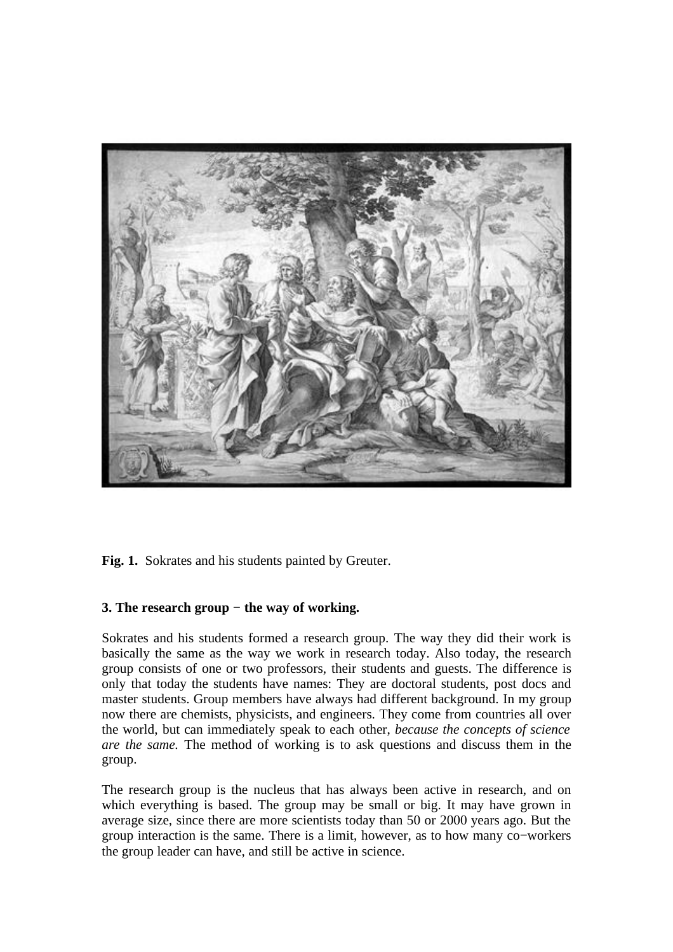

**Fig. 1.** Sokrates and his students painted by Greuter.

# **3. The research group − the way of working.**

Sokrates and his students formed a research group. The way they did their work is basically the same as the way we work in research today. Also today, the research group consists of one or two professors, their students and guests. The difference is only that today the students have names: They are doctoral students, post docs and master students. Group members have always had different background. In my group now there are chemists, physicists, and engineers. They come from countries all over the world, but can immediately speak to each other, *because the concepts of science are the same.* The method of working is to ask questions and discuss them in the group.

The research group is the nucleus that has always been active in research, and on which everything is based. The group may be small or big. It may have grown in average size, since there are more scientists today than 50 or 2000 years ago. But the group interaction is the same. There is a limit, however, as to how many co−workers the group leader can have, and still be active in science.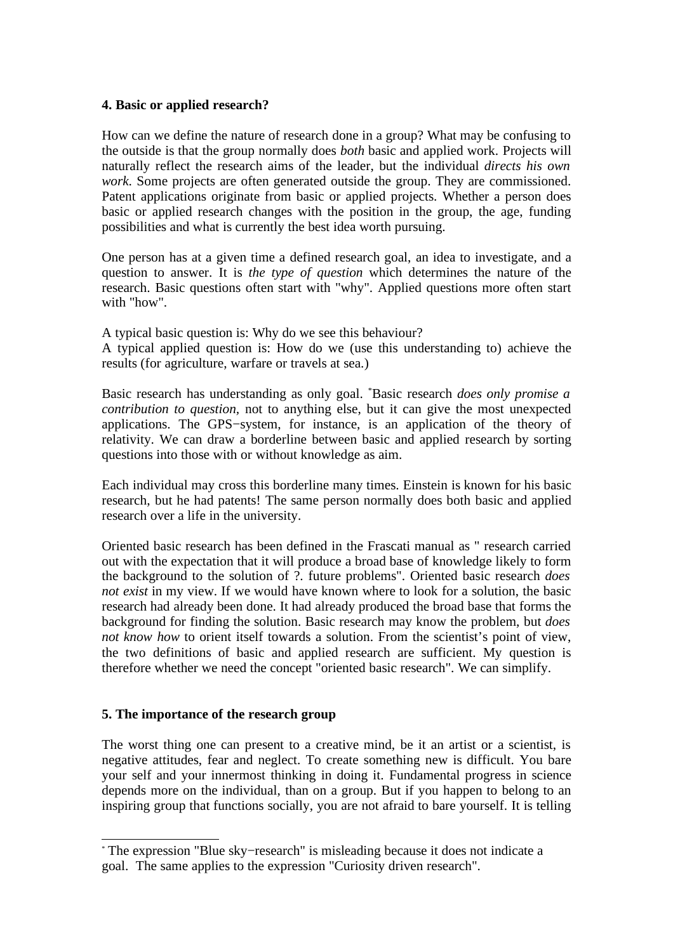#### **4. Basic or applied research?**

How can we define the nature of research done in a group? What may be confusing to the outside is that the group normally does *both* basic and applied work. Projects will naturally reflect the research aims of the leader, but the individual *directs his own work*. Some projects are often generated outside the group. They are commissioned. Patent applications originate from basic or applied projects. Whether a person does basic or applied research changes with the position in the group, the age, funding possibilities and what is currently the best idea worth pursuing.

One person has at a given time a defined research goal, an idea to investigate, and a question to answer. It is *the type of question* which determines the nature of the research. Basic questions often start with "why". Applied questions more often start with "how".

A typical basic question is: Why do we see this behaviour? A typical applied question is: How do we (use this understanding to) achieve the results (for agriculture, warfare or travels at sea.)

Basic research has understanding as only goal. \*Basic research *does only promise a contribution to question,* not to anything else, but it can give the most unexpected applications. The GPS−system, for instance, is an application of the theory of relativity. We can draw a borderline between basic and applied research by sorting questions into those with or without knowledge as aim.

Each individual may cross this borderline many times. Einstein is known for his basic research, but he had patents! The same person normally does both basic and applied research over a life in the university.

Oriented basic research has been defined in the Frascati manual as " research carried out with the expectation that it will produce a broad base of knowledge likely to form the background to the solution of ?. future problems". Oriented basic research *does not exist* in my view. If we would have known where to look for a solution, the basic research had already been done. It had already produced the broad base that forms the background for finding the solution. Basic research may know the problem, but *does not know how* to orient itself towards a solution. From the scientist's point of view, the two definitions of basic and applied research are sufficient. My question is therefore whether we need the concept "oriented basic research". We can simplify.

### **5. The importance of the research group**

The worst thing one can present to a creative mind, be it an artist or a scientist, is negative attitudes, fear and neglect. To create something new is difficult. You bare your self and your innermost thinking in doing it. Fundamental progress in science depends more on the individual, than on a group. But if you happen to belong to an inspiring group that functions socially, you are not afraid to bare yourself. It is telling

<sup>\*</sup> The expression "Blue sky−research" is misleading because it does not indicate a goal. The same applies to the expression "Curiosity driven research".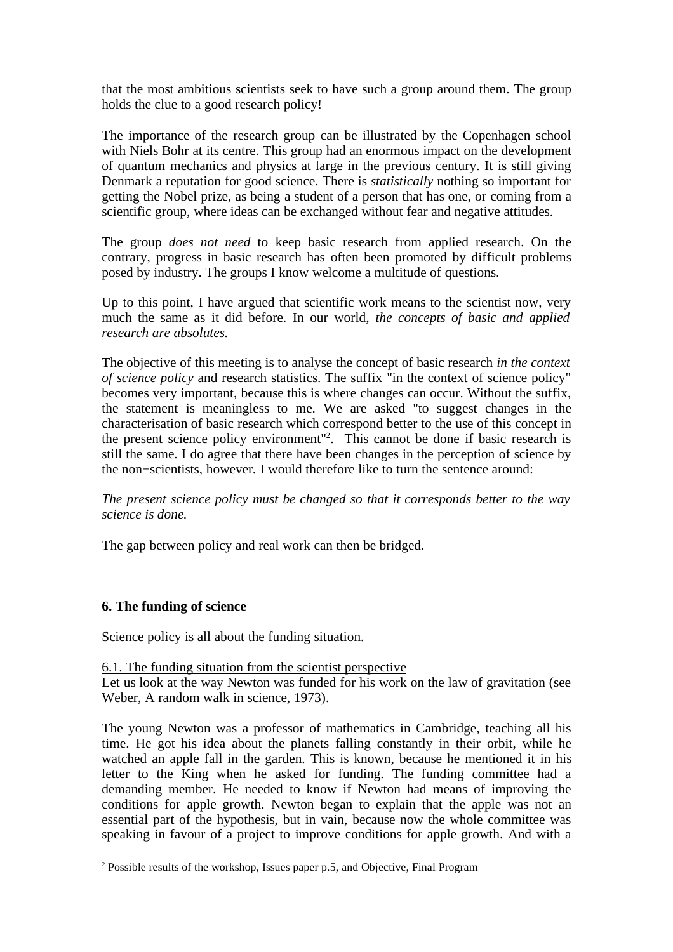that the most ambitious scientists seek to have such a group around them. The group holds the clue to a good research policy!

The importance of the research group can be illustrated by the Copenhagen school with Niels Bohr at its centre. This group had an enormous impact on the development of quantum mechanics and physics at large in the previous century. It is still giving Denmark a reputation for good science. There is *statistically* nothing so important for getting the Nobel prize, as being a student of a person that has one, or coming from a scientific group, where ideas can be exchanged without fear and negative attitudes.

The group *does not need* to keep basic research from applied research. On the contrary, progress in basic research has often been promoted by difficult problems posed by industry. The groups I know welcome a multitude of questions.

Up to this point, I have argued that scientific work means to the scientist now, very much the same as it did before. In our world, *the concepts of basic and applied research are absolutes.*

The objective of this meeting is to analyse the concept of basic research *in the context of science policy* and research statistics. The suffix "in the context of science policy" becomes very important, because this is where changes can occur. Without the suffix, the statement is meaningless to me. We are asked "to suggest changes in the characterisation of basic research which correspond better to the use of this concept in the present science policy environment" 2 . This cannot be done if basic research is still the same. I do agree that there have been changes in the perception of science by the non−scientists, however*.* I would therefore like to turn the sentence around:

*The present science policy must be changed so that it corresponds better to the way science is done.*

The gap between policy and real work can then be bridged.

### **6. The funding of science**

Science policy is all about the funding situation.

## 6.1. The funding situation from the scientist perspective

Let us look at the way Newton was funded for his work on the law of gravitation (see Weber, A random walk in science, 1973).

The young Newton was a professor of mathematics in Cambridge, teaching all his time. He got his idea about the planets falling constantly in their orbit, while he watched an apple fall in the garden. This is known, because he mentioned it in his letter to the King when he asked for funding. The funding committee had a demanding member. He needed to know if Newton had means of improving the conditions for apple growth. Newton began to explain that the apple was not an essential part of the hypothesis, but in vain, because now the whole committee was speaking in favour of a project to improve conditions for apple growth. And with a

<sup>2</sup> Possible results of the workshop, Issues paper p.5, and Objective, Final Program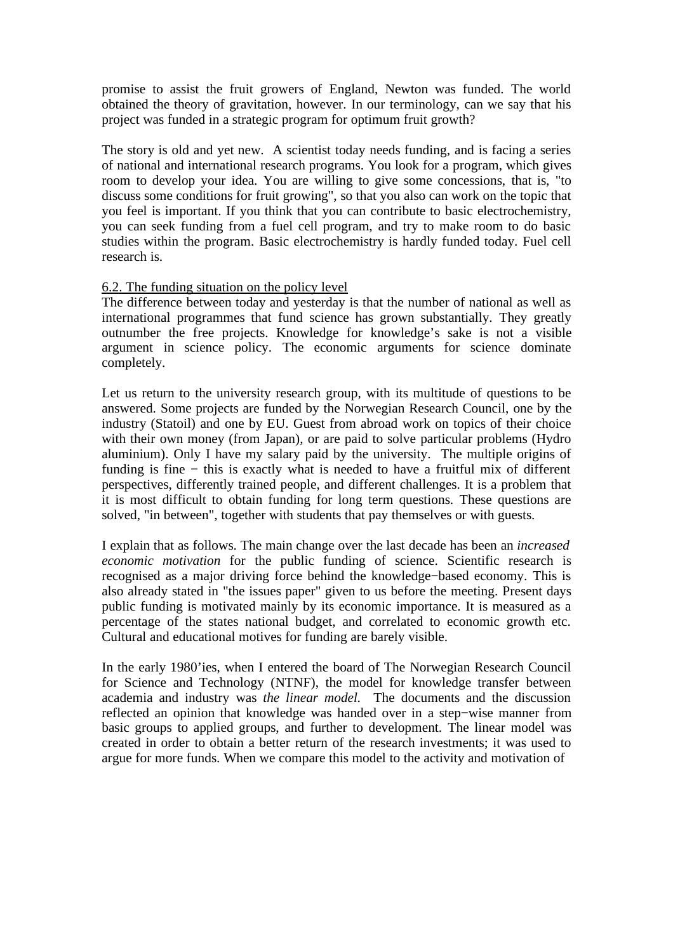promise to assist the fruit growers of England, Newton was funded. The world obtained the theory of gravitation, however. In our terminology, can we say that his project was funded in a strategic program for optimum fruit growth?

The story is old and yet new. A scientist today needs funding, and is facing a series of national and international research programs. You look for a program, which gives room to develop your idea. You are willing to give some concessions, that is, "to discuss some conditions for fruit growing", so that you also can work on the topic that you feel is important. If you think that you can contribute to basic electrochemistry, you can seek funding from a fuel cell program, and try to make room to do basic studies within the program. Basic electrochemistry is hardly funded today. Fuel cell research is.

#### 6.2. The funding situation on the policy level

The difference between today and yesterday is that the number of national as well as international programmes that fund science has grown substantially. They greatly outnumber the free projects. Knowledge for knowledge's sake is not a visible argument in science policy. The economic arguments for science dominate completely.

Let us return to the university research group, with its multitude of questions to be answered. Some projects are funded by the Norwegian Research Council, one by the industry (Statoil) and one by EU. Guest from abroad work on topics of their choice with their own money (from Japan), or are paid to solve particular problems (Hydro aluminium). Only I have my salary paid by the university. The multiple origins of funding is fine − this is exactly what is needed to have a fruitful mix of different perspectives, differently trained people, and different challenges. It is a problem that it is most difficult to obtain funding for long term questions. These questions are solved, "in between", together with students that pay themselves or with guests.

I explain that as follows. The main change over the last decade has been an *increased economic motivation* for the public funding of science. Scientific research is recognised as a major driving force behind the knowledge−based economy. This is also already stated in "the issues paper" given to us before the meeting. Present days public funding is motivated mainly by its economic importance. It is measured as a percentage of the states national budget, and correlated to economic growth etc. Cultural and educational motives for funding are barely visible.

In the early 1980'ies, when I entered the board of The Norwegian Research Council for Science and Technology (NTNF), the model for knowledge transfer between academia and industry was *the linear model.* The documents and the discussion reflected an opinion that knowledge was handed over in a step−wise manner from basic groups to applied groups, and further to development. The linear model was created in order to obtain a better return of the research investments; it was used to argue for more funds. When we compare this model to the activity and motivation of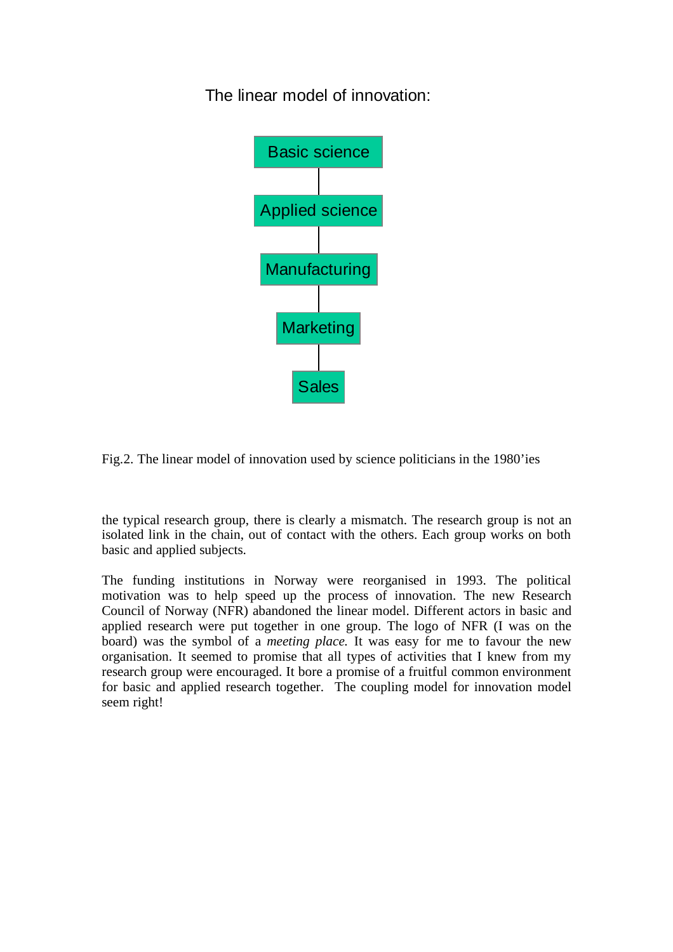The linear model of innovation:



Fig.2. The linear model of innovation used by science politicians in the 1980'ies

the typical research group, there is clearly a mismatch. The research group is not an isolated link in the chain, out of contact with the others. Each group works on both basic and applied subjects.

The funding institutions in Norway were reorganised in 1993. The political motivation was to help speed up the process of innovation. The new Research Council of Norway (NFR) abandoned the linear model. Different actors in basic and applied research were put together in one group. The logo of NFR (I was on the board) was the symbol of a *meeting place.* It was easy for me to favour the new organisation. It seemed to promise that all types of activities that I knew from my research group were encouraged. It bore a promise of a fruitful common environment for basic and applied research together. The coupling model for innovation model seem right!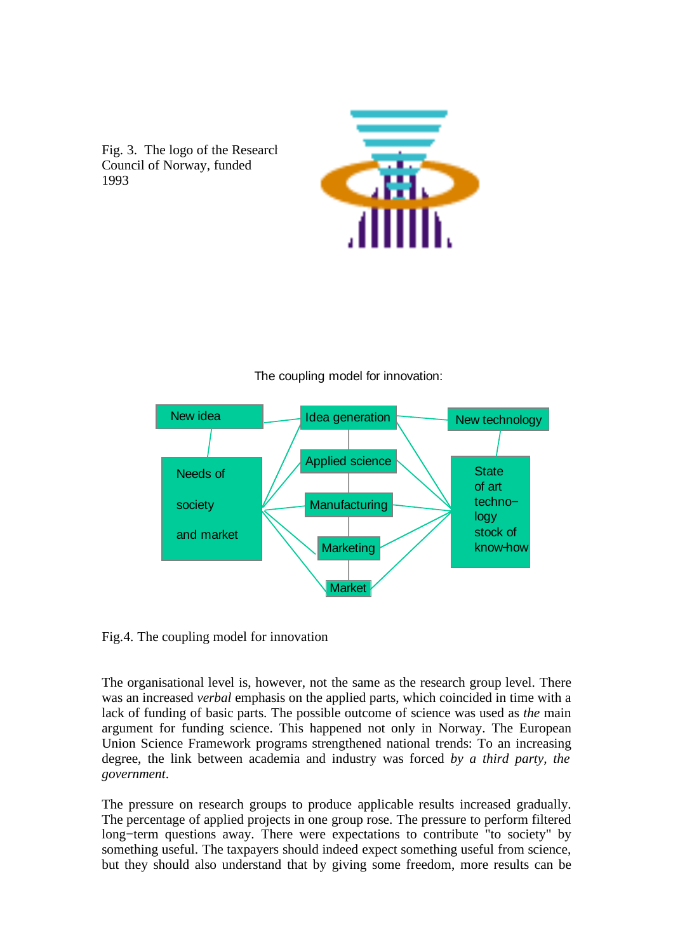





## The coupling model for innovation:

Fig.4. The coupling model for innovation

The organisational level is, however, not the same as the research group level. There was an increased *verbal* emphasis on the applied parts, which coincided in time with a lack of funding of basic parts. The possible outcome of science was used as *the* main argument for funding science. This happened not only in Norway. The European Union Science Framework programs strengthened national trends: To an increasing degree, the link between academia and industry was forced *by a third party, the government*.

The pressure on research groups to produce applicable results increased gradually. The percentage of applied projects in one group rose. The pressure to perform filtered long−term questions away. There were expectations to contribute "to society" by something useful. The taxpayers should indeed expect something useful from science, but they should also understand that by giving some freedom, more results can be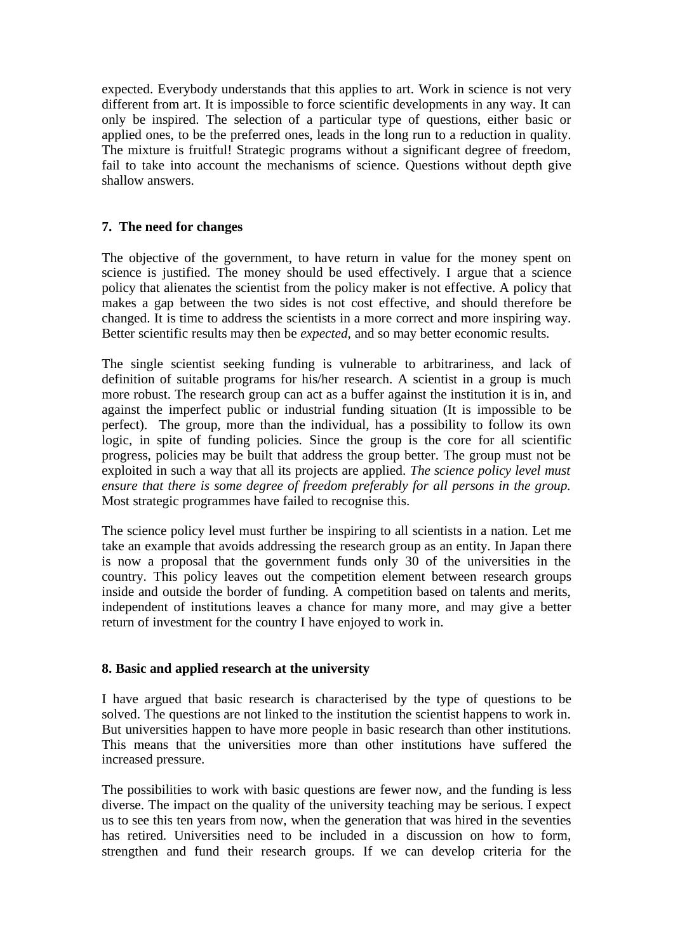expected. Everybody understands that this applies to art. Work in science is not very different from art. It is impossible to force scientific developments in any way. It can only be inspired. The selection of a particular type of questions, either basic or applied ones, to be the preferred ones, leads in the long run to a reduction in quality. The mixture is fruitful! Strategic programs without a significant degree of freedom, fail to take into account the mechanisms of science. Questions without depth give shallow answers.

# **7. The need for changes**

The objective of the government, to have return in value for the money spent on science is justified. The money should be used effectively. I argue that a science policy that alienates the scientist from the policy maker is not effective. A policy that makes a gap between the two sides is not cost effective, and should therefore be changed. It is time to address the scientists in a more correct and more inspiring way. Better scientific results may then be *expected*, and so may better economic results.

The single scientist seeking funding is vulnerable to arbitrariness, and lack of definition of suitable programs for his/her research. A scientist in a group is much more robust. The research group can act as a buffer against the institution it is in, and against the imperfect public or industrial funding situation (It is impossible to be perfect). The group, more than the individual, has a possibility to follow its own logic, in spite of funding policies. Since the group is the core for all scientific progress, policies may be built that address the group better. The group must not be exploited in such a way that all its projects are applied. *The science policy level must ensure that there is some degree of freedom preferably for all persons in the group.* Most strategic programmes have failed to recognise this.

The science policy level must further be inspiring to all scientists in a nation. Let me take an example that avoids addressing the research group as an entity. In Japan there is now a proposal that the government funds only 30 of the universities in the country. This policy leaves out the competition element between research groups inside and outside the border of funding. A competition based on talents and merits, independent of institutions leaves a chance for many more, and may give a better return of investment for the country I have enjoyed to work in.

### **8. Basic and applied research at the university**

I have argued that basic research is characterised by the type of questions to be solved. The questions are not linked to the institution the scientist happens to work in. But universities happen to have more people in basic research than other institutions. This means that the universities more than other institutions have suffered the increased pressure.

The possibilities to work with basic questions are fewer now, and the funding is less diverse. The impact on the quality of the university teaching may be serious. I expect us to see this ten years from now, when the generation that was hired in the seventies has retired. Universities need to be included in a discussion on how to form, strengthen and fund their research groups. If we can develop criteria for the